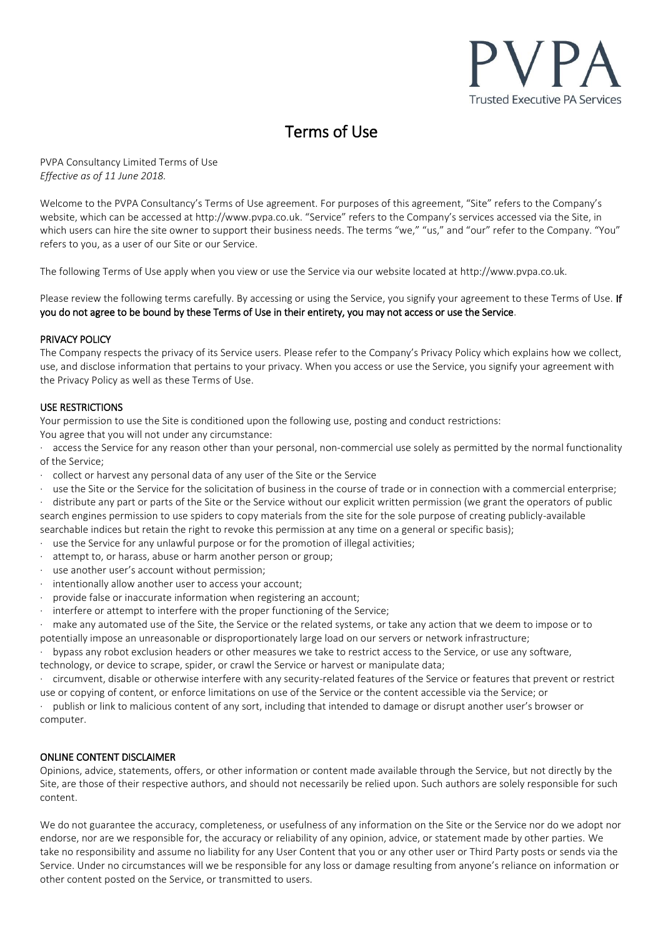

# Terms of Use

PVPA Consultancy Limited Terms of Use *Effective as of 11 June 2018.*

Welcome to the PVPA Consultancy's Terms of Use agreement. For purposes of this agreement, "Site" refers to the Company's website, which can be accessed at http://www.pvpa.co.uk. "Service" refers to the Company's services accessed via the Site, in which users can hire the site owner to support their business needs. The terms "we," "us," and "our" refer to the Company. "You" refers to you, as a user of our Site or our Service.

The following Terms of Use apply when you view or use the Service via our website located at http://www.pvpa.co.uk.

Please review the following terms carefully. By accessing or using the Service, you signify your agreement to these Terms of Use. If you do not agree to be bound by these Terms of Use in their entirety, you may not access or use the Service.

## PRIVACY POLICY

The Company respects the privacy of its Service users. Please refer to the Company's Privacy Policy which explains how we collect, use, and disclose information that pertains to your privacy. When you access or use the Service, you signify your agreement with the Privacy Policy as well as these Terms of Use.

## USE RESTRICTIONS

Your permission to use the Site is conditioned upon the following use, posting and conduct restrictions:

You agree that you will not under any circumstance:

access the Service for any reason other than your personal, non-commercial use solely as permitted by the normal functionality of the Service;

- · collect or harvest any personal data of any user of the Site or the Service
- use the Site or the Service for the solicitation of business in the course of trade or in connection with a commercial enterprise;

distribute any part or parts of the Site or the Service without our explicit written permission (we grant the operators of public search engines permission to use spiders to copy materials from the site for the sole purpose of creating publicly-available searchable indices but retain the right to revoke this permission at any time on a general or specific basis);

- use the Service for any unlawful purpose or for the promotion of illegal activities;
- attempt to, or harass, abuse or harm another person or group;
- use another user's account without permission;
- intentionally allow another user to access your account;
- provide false or inaccurate information when registering an account;
- interfere or attempt to interfere with the proper functioning of the Service;

make any automated use of the Site, the Service or the related systems, or take any action that we deem to impose or to potentially impose an unreasonable or disproportionately large load on our servers or network infrastructure;

· bypass any robot exclusion headers or other measures we take to restrict access to the Service, or use any software,

technology, or device to scrape, spider, or crawl the Service or harvest or manipulate data;

· circumvent, disable or otherwise interfere with any security-related features of the Service or features that prevent or restrict use or copying of content, or enforce limitations on use of the Service or the content accessible via the Service; or

· publish or link to malicious content of any sort, including that intended to damage or disrupt another user's browser or computer.

# ONLINE CONTENT DISCLAIMER

Opinions, advice, statements, offers, or other information or content made available through the Service, but not directly by the Site, are those of their respective authors, and should not necessarily be relied upon. Such authors are solely responsible for such content.

We do not guarantee the accuracy, completeness, or usefulness of any information on the Site or the Service nor do we adopt nor endorse, nor are we responsible for, the accuracy or reliability of any opinion, advice, or statement made by other parties. We take no responsibility and assume no liability for any User Content that you or any other user or Third Party posts or sends via the Service. Under no circumstances will we be responsible for any loss or damage resulting from anyone's reliance on information or other content posted on the Service, or transmitted to users.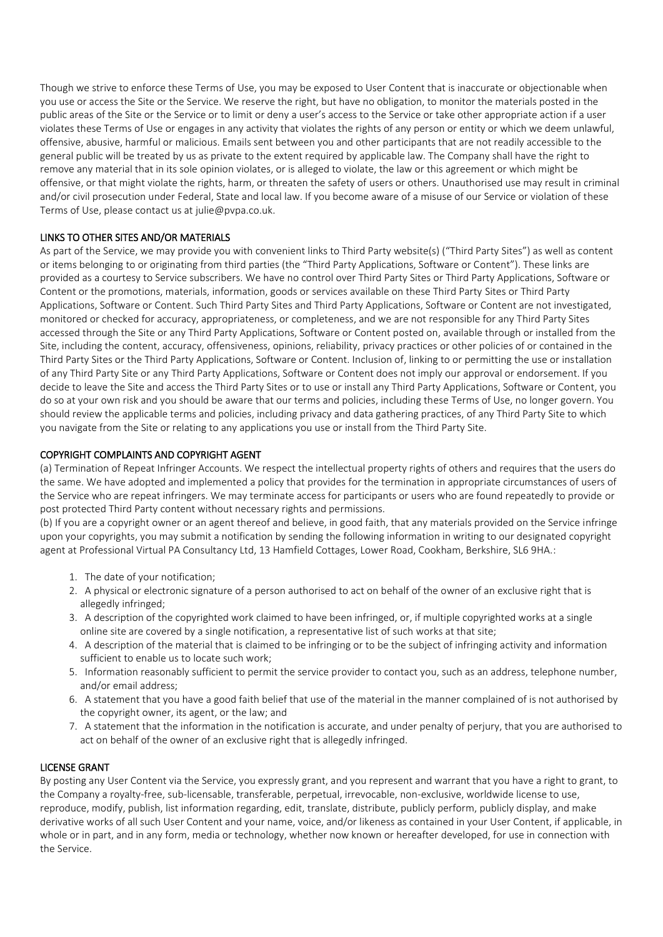Though we strive to enforce these Terms of Use, you may be exposed to User Content that is inaccurate or objectionable when you use or access the Site or the Service. We reserve the right, but have no obligation, to monitor the materials posted in the public areas of the Site or the Service or to limit or deny a user's access to the Service or take other appropriate action if a user violates these Terms of Use or engages in any activity that violates the rights of any person or entity or which we deem unlawful, offensive, abusive, harmful or malicious. Emails sent between you and other participants that are not readily accessible to the general public will be treated by us as private to the extent required by applicable law. The Company shall have the right to remove any material that in its sole opinion violates, or is alleged to violate, the law or this agreement or which might be offensive, or that might violate the rights, harm, or threaten the safety of users or others. Unauthorised use may result in criminal and/or civil prosecution under Federal, State and local law. If you become aware of a misuse of our Service or violation of these Terms of Use, please contact us at julie@pvpa.co.uk.

# LINKS TO OTHER SITES AND/OR MATERIALS

As part of the Service, we may provide you with convenient links to Third Party website(s) ("Third Party Sites") as well as content or items belonging to or originating from third parties (the "Third Party Applications, Software or Content"). These links are provided as a courtesy to Service subscribers. We have no control over Third Party Sites or Third Party Applications, Software or Content or the promotions, materials, information, goods or services available on these Third Party Sites or Third Party Applications, Software or Content. Such Third Party Sites and Third Party Applications, Software or Content are not investigated, monitored or checked for accuracy, appropriateness, or completeness, and we are not responsible for any Third Party Sites accessed through the Site or any Third Party Applications, Software or Content posted on, available through or installed from the Site, including the content, accuracy, offensiveness, opinions, reliability, privacy practices or other policies of or contained in the Third Party Sites or the Third Party Applications, Software or Content. Inclusion of, linking to or permitting the use or installation of any Third Party Site or any Third Party Applications, Software or Content does not imply our approval or endorsement. If you decide to leave the Site and access the Third Party Sites or to use or install any Third Party Applications, Software or Content, you do so at your own risk and you should be aware that our terms and policies, including these Terms of Use, no longer govern. You should review the applicable terms and policies, including privacy and data gathering practices, of any Third Party Site to which you navigate from the Site or relating to any applications you use or install from the Third Party Site.

## COPYRIGHT COMPLAINTS AND COPYRIGHT AGENT

(a) Termination of Repeat Infringer Accounts. We respect the intellectual property rights of others and requires that the users do the same. We have adopted and implemented a policy that provides for the termination in appropriate circumstances of users of the Service who are repeat infringers. We may terminate access for participants or users who are found repeatedly to provide or post protected Third Party content without necessary rights and permissions.

(b) If you are a copyright owner or an agent thereof and believe, in good faith, that any materials provided on the Service infringe upon your copyrights, you may submit a notification by sending the following information in writing to our designated copyright agent at Professional Virtual PA Consultancy Ltd, 13 Hamfield Cottages, Lower Road, Cookham, Berkshire, SL6 9HA.:

- 1. The date of your notification;
- 2. A physical or electronic signature of a person authorised to act on behalf of the owner of an exclusive right that is allegedly infringed;
- 3. A description of the copyrighted work claimed to have been infringed, or, if multiple copyrighted works at a single online site are covered by a single notification, a representative list of such works at that site;
- 4. A description of the material that is claimed to be infringing or to be the subject of infringing activity and information sufficient to enable us to locate such work;
- 5. Information reasonably sufficient to permit the service provider to contact you, such as an address, telephone number, and/or email address;
- 6. A statement that you have a good faith belief that use of the material in the manner complained of is not authorised by the copyright owner, its agent, or the law; and
- 7. A statement that the information in the notification is accurate, and under penalty of perjury, that you are authorised to act on behalf of the owner of an exclusive right that is allegedly infringed.

#### LICENSE GRANT

By posting any User Content via the Service, you expressly grant, and you represent and warrant that you have a right to grant, to the Company a royalty-free, sub-licensable, transferable, perpetual, irrevocable, non-exclusive, worldwide license to use, reproduce, modify, publish, list information regarding, edit, translate, distribute, publicly perform, publicly display, and make derivative works of all such User Content and your name, voice, and/or likeness as contained in your User Content, if applicable, in whole or in part, and in any form, media or technology, whether now known or hereafter developed, for use in connection with the Service.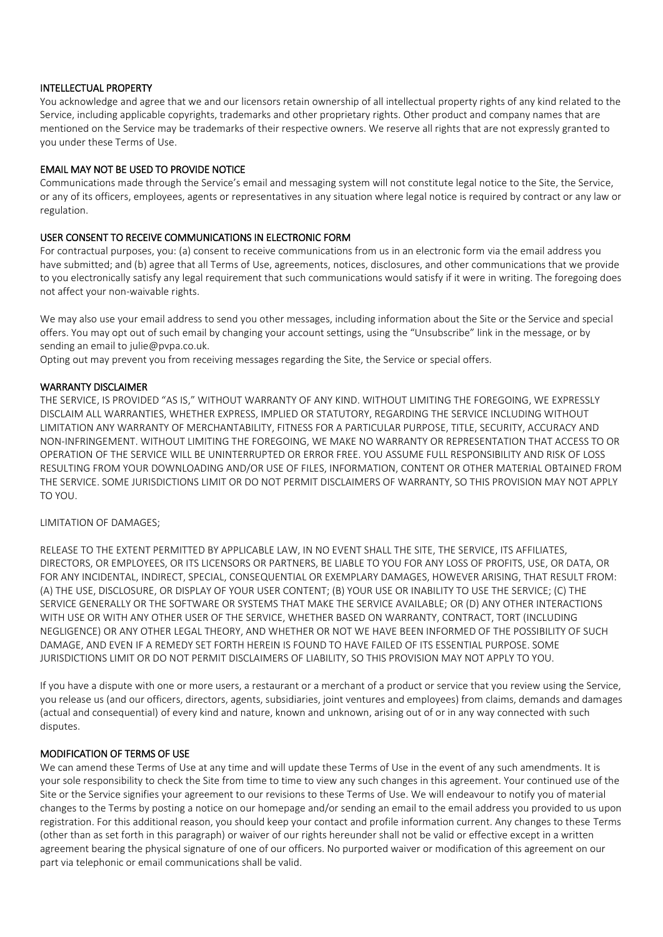## INTELLECTUAL PROPERTY

You acknowledge and agree that we and our licensors retain ownership of all intellectual property rights of any kind related to the Service, including applicable copyrights, trademarks and other proprietary rights. Other product and company names that are mentioned on the Service may be trademarks of their respective owners. We reserve all rights that are not expressly granted to you under these Terms of Use.

## EMAIL MAY NOT BE USED TO PROVIDE NOTICE

Communications made through the Service's email and messaging system will not constitute legal notice to the Site, the Service, or any of its officers, employees, agents or representatives in any situation where legal notice is required by contract or any law or regulation.

## USER CONSENT TO RECEIVE COMMUNICATIONS IN ELECTRONIC FORM

For contractual purposes, you: (a) consent to receive communications from us in an electronic form via the email address you have submitted; and (b) agree that all Terms of Use, agreements, notices, disclosures, and other communications that we provide to you electronically satisfy any legal requirement that such communications would satisfy if it were in writing. The foregoing does not affect your non-waivable rights.

We may also use your email address to send you other messages, including information about the Site or the Service and special offers. You may opt out of such email by changing your account settings, using the "Unsubscribe" link in the message, or by sending an email to julie@pvpa.co.uk.

Opting out may prevent you from receiving messages regarding the Site, the Service or special offers.

#### WARRANTY DISCLAIMER

THE SERVICE, IS PROVIDED "AS IS," WITHOUT WARRANTY OF ANY KIND. WITHOUT LIMITING THE FOREGOING, WE EXPRESSLY DISCLAIM ALL WARRANTIES, WHETHER EXPRESS, IMPLIED OR STATUTORY, REGARDING THE SERVICE INCLUDING WITHOUT LIMITATION ANY WARRANTY OF MERCHANTABILITY, FITNESS FOR A PARTICULAR PURPOSE, TITLE, SECURITY, ACCURACY AND NON-INFRINGEMENT. WITHOUT LIMITING THE FOREGOING, WE MAKE NO WARRANTY OR REPRESENTATION THAT ACCESS TO OR OPERATION OF THE SERVICE WILL BE UNINTERRUPTED OR ERROR FREE. YOU ASSUME FULL RESPONSIBILITY AND RISK OF LOSS RESULTING FROM YOUR DOWNLOADING AND/OR USE OF FILES, INFORMATION, CONTENT OR OTHER MATERIAL OBTAINED FROM THE SERVICE. SOME JURISDICTIONS LIMIT OR DO NOT PERMIT DISCLAIMERS OF WARRANTY, SO THIS PROVISION MAY NOT APPLY TO YOU.

## LIMITATION OF DAMAGES;

RELEASE TO THE EXTENT PERMITTED BY APPLICABLE LAW, IN NO EVENT SHALL THE SITE, THE SERVICE, ITS AFFILIATES, DIRECTORS, OR EMPLOYEES, OR ITS LICENSORS OR PARTNERS, BE LIABLE TO YOU FOR ANY LOSS OF PROFITS, USE, OR DATA, OR FOR ANY INCIDENTAL, INDIRECT, SPECIAL, CONSEQUENTIAL OR EXEMPLARY DAMAGES, HOWEVER ARISING, THAT RESULT FROM: (A) THE USE, DISCLOSURE, OR DISPLAY OF YOUR USER CONTENT; (B) YOUR USE OR INABILITY TO USE THE SERVICE; (C) THE SERVICE GENERALLY OR THE SOFTWARE OR SYSTEMS THAT MAKE THE SERVICE AVAILABLE; OR (D) ANY OTHER INTERACTIONS WITH USE OR WITH ANY OTHER USER OF THE SERVICE, WHETHER BASED ON WARRANTY, CONTRACT, TORT (INCLUDING NEGLIGENCE) OR ANY OTHER LEGAL THEORY, AND WHETHER OR NOT WE HAVE BEEN INFORMED OF THE POSSIBILITY OF SUCH DAMAGE, AND EVEN IF A REMEDY SET FORTH HEREIN IS FOUND TO HAVE FAILED OF ITS ESSENTIAL PURPOSE. SOME JURISDICTIONS LIMIT OR DO NOT PERMIT DISCLAIMERS OF LIABILITY, SO THIS PROVISION MAY NOT APPLY TO YOU.

If you have a dispute with one or more users, a restaurant or a merchant of a product or service that you review using the Service, you release us (and our officers, directors, agents, subsidiaries, joint ventures and employees) from claims, demands and damages (actual and consequential) of every kind and nature, known and unknown, arising out of or in any way connected with such disputes.

## MODIFICATION OF TERMS OF USE

We can amend these Terms of Use at any time and will update these Terms of Use in the event of any such amendments. It is your sole responsibility to check the Site from time to time to view any such changes in this agreement. Your continued use of the Site or the Service signifies your agreement to our revisions to these Terms of Use. We will endeavour to notify you of material changes to the Terms by posting a notice on our homepage and/or sending an email to the email address you provided to us upon registration. For this additional reason, you should keep your contact and profile information current. Any changes to these Terms (other than as set forth in this paragraph) or waiver of our rights hereunder shall not be valid or effective except in a written agreement bearing the physical signature of one of our officers. No purported waiver or modification of this agreement on our part via telephonic or email communications shall be valid.